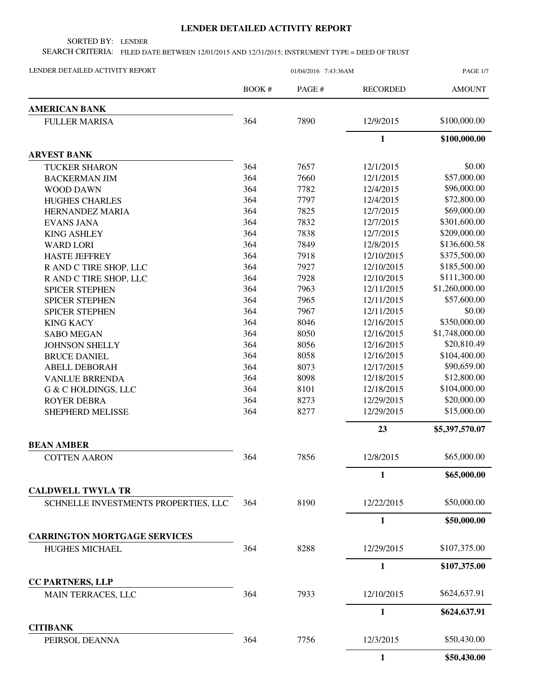## **LENDER DETAILED ACTIVITY REPORT**

SORTED BY: LENDER

SEARCH CRITERIA: FILED DATE BETWEEN 12/01/2015 AND 12/31/2015; INSTRUMENT TYPE = DEED OF TRUST

| LENDER DETAILED ACTIVITY REPORT                                  | 01/04/2016 7:43:36AM |        |                 | PAGE 1/7       |  |
|------------------------------------------------------------------|----------------------|--------|-----------------|----------------|--|
|                                                                  | <b>BOOK#</b>         | PAGE # | <b>RECORDED</b> | <b>AMOUNT</b>  |  |
| <b>AMERICAN BANK</b>                                             |                      |        |                 |                |  |
| <b>FULLER MARISA</b>                                             | 364                  | 7890   | 12/9/2015       | \$100,000.00   |  |
|                                                                  |                      |        | 1               | \$100,000.00   |  |
| <b>ARVEST BANK</b>                                               |                      |        |                 |                |  |
| <b>TUCKER SHARON</b>                                             | 364                  | 7657   | 12/1/2015       | \$0.00         |  |
| <b>BACKERMAN JIM</b>                                             | 364                  | 7660   | 12/1/2015       | \$57,000.00    |  |
| <b>WOOD DAWN</b>                                                 | 364                  | 7782   | 12/4/2015       | \$96,000.00    |  |
| <b>HUGHES CHARLES</b>                                            | 364                  | 7797   | 12/4/2015       | \$72,800.00    |  |
| HERNANDEZ MARIA                                                  | 364                  | 7825   | 12/7/2015       | \$69,000.00    |  |
| <b>EVANS JANA</b>                                                | 364                  | 7832   | 12/7/2015       | \$301,600.00   |  |
| <b>KING ASHLEY</b>                                               | 364                  | 7838   | 12/7/2015       | \$209,000.00   |  |
| <b>WARD LORI</b>                                                 | 364                  | 7849   | 12/8/2015       | \$136,600.58   |  |
| <b>HASTE JEFFREY</b>                                             | 364                  | 7918   | 12/10/2015      | \$375,500.00   |  |
| R AND C TIRE SHOP, LLC                                           | 364                  | 7927   | 12/10/2015      | \$185,500.00   |  |
| R AND C TIRE SHOP, LLC                                           | 364                  | 7928   | 12/10/2015      | \$111,300.00   |  |
| <b>SPICER STEPHEN</b>                                            | 364                  | 7963   | 12/11/2015      | \$1,260,000.00 |  |
| <b>SPICER STEPHEN</b>                                            | 364                  | 7965   | 12/11/2015      | \$57,600.00    |  |
| <b>SPICER STEPHEN</b>                                            | 364                  | 7967   | 12/11/2015      | \$0.00         |  |
| <b>KING KACY</b>                                                 | 364                  | 8046   | 12/16/2015      | \$350,000.00   |  |
| <b>SABO MEGAN</b>                                                | 364                  | 8050   | 12/16/2015      | \$1,748,000.00 |  |
| <b>JOHNSON SHELLY</b>                                            | 364                  | 8056   | 12/16/2015      | \$20,810.49    |  |
| <b>BRUCE DANIEL</b>                                              | 364                  | 8058   | 12/16/2015      | \$104,400.00   |  |
| <b>ABELL DEBORAH</b>                                             | 364                  | 8073   | 12/17/2015      | \$90,659.00    |  |
| <b>VANLUE BRRENDA</b>                                            | 364                  | 8098   | 12/18/2015      | \$12,800.00    |  |
| G & C HOLDINGS, LLC                                              | 364                  | 8101   | 12/18/2015      | \$104,000.00   |  |
| <b>ROYER DEBRA</b>                                               | 364                  | 8273   | 12/29/2015      | \$20,000.00    |  |
| SHEPHERD MELISSE                                                 | 364                  | 8277   | 12/29/2015      | \$15,000.00    |  |
|                                                                  |                      |        | 23              | \$5,397,570.07 |  |
|                                                                  |                      |        |                 |                |  |
| <b>BEAN AMBER</b>                                                |                      |        |                 |                |  |
| <b>COTTEN AARON</b>                                              | 364                  | 7856   | 12/8/2015       | \$65,000.00    |  |
|                                                                  |                      |        | 1               | \$65,000.00    |  |
| <b>CALDWELL TWYLA TR</b><br>SCHNELLE INVESTMENTS PROPERTIES, LLC | 364                  | 8190   | 12/22/2015      | \$50,000.00    |  |
|                                                                  |                      |        | 1               | \$50,000.00    |  |
| <b>CARRINGTON MORTGAGE SERVICES</b>                              |                      |        |                 |                |  |
| <b>HUGHES MICHAEL</b>                                            | 364                  | 8288   | 12/29/2015      | \$107,375.00   |  |
|                                                                  |                      |        | 1               | \$107,375.00   |  |
| <b>CC PARTNERS, LLP</b>                                          |                      |        |                 |                |  |
| MAIN TERRACES, LLC                                               | 364                  | 7933   | 12/10/2015      | \$624,637.91   |  |
|                                                                  |                      |        | 1               | \$624,637.91   |  |
| <b>CITIBANK</b><br>PEIRSOL DEANNA                                | 364                  | 7756   | 12/3/2015       | \$50,430.00    |  |
|                                                                  |                      |        | 1               |                |  |
|                                                                  |                      |        |                 | \$50,430.00    |  |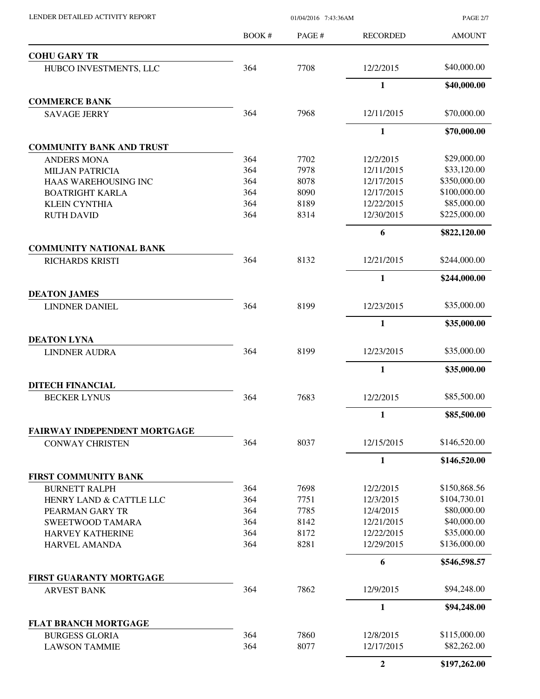PAGE 2/7

|                                                          | <b>BOOK#</b> | PAGE#        | <b>RECORDED</b> | <b>AMOUNT</b> |
|----------------------------------------------------------|--------------|--------------|-----------------|---------------|
| <b>COHU GARY TR</b>                                      |              |              |                 |               |
| HUBCO INVESTMENTS, LLC                                   | 364          | 7708         | 12/2/2015       | \$40,000.00   |
|                                                          |              |              | 1               | \$40,000.00   |
| <b>COMMERCE BANK</b>                                     |              |              |                 |               |
| <b>SAVAGE JERRY</b>                                      | 364          | 7968         | 12/11/2015      | \$70,000.00   |
|                                                          |              |              | $\mathbf{1}$    | \$70,000.00   |
| <b>COMMUNITY BANK AND TRUST</b>                          |              |              |                 | \$29,000.00   |
| <b>ANDERS MONA</b>                                       | 364          | 7702<br>7978 | 12/2/2015       | \$33,120.00   |
| <b>MILJAN PATRICIA</b>                                   | 364          |              | 12/11/2015      | \$350,000.00  |
| HAAS WAREHOUSING INC                                     | 364          | 8078         | 12/17/2015      | \$100,000.00  |
| <b>BOATRIGHT KARLA</b>                                   | 364          | 8090         | 12/17/2015      |               |
| <b>KLEIN CYNTHIA</b>                                     | 364          | 8189         | 12/22/2015      | \$85,000.00   |
| <b>RUTH DAVID</b>                                        | 364          | 8314         | 12/30/2015      | \$225,000.00  |
|                                                          |              |              | 6               | \$822,120.00  |
| <b>COMMUNITY NATIONAL BANK</b><br><b>RICHARDS KRISTI</b> | 364          | 8132         | 12/21/2015      | \$244,000.00  |
|                                                          |              |              | $\mathbf{1}$    | \$244,000.00  |
| <b>DEATON JAMES</b>                                      |              |              |                 |               |
| <b>LINDNER DANIEL</b>                                    | 364          | 8199         | 12/23/2015      | \$35,000.00   |
|                                                          |              |              | $\mathbf{1}$    | \$35,000.00   |
| <b>DEATON LYNA</b>                                       |              |              |                 |               |
| <b>LINDNER AUDRA</b>                                     | 364          | 8199         | 12/23/2015      | \$35,000.00   |
|                                                          |              |              | $\mathbf{1}$    | \$35,000.00   |
| <b>DITECH FINANCIAL</b>                                  |              |              |                 |               |
| <b>BECKER LYNUS</b>                                      | 364          | 7683         | 12/2/2015       | \$85,500.00   |
|                                                          |              |              | $\mathbf{1}$    | \$85,500.00   |
| FAIRWAY INDEPENDENT MORTGAGE                             |              |              |                 |               |
| <b>CONWAY CHRISTEN</b>                                   | 364          | 8037         | 12/15/2015      | \$146,520.00  |
|                                                          |              |              | 1               | \$146,520.00  |
| FIRST COMMUNITY BANK                                     |              |              |                 |               |
| <b>BURNETT RALPH</b>                                     | 364          | 7698         | 12/2/2015       | \$150,868.56  |
| HENRY LAND & CATTLE LLC                                  | 364          | 7751         | 12/3/2015       | \$104,730.01  |
| PEARMAN GARY TR                                          | 364          | 7785         | 12/4/2015       | \$80,000.00   |
| <b>SWEETWOOD TAMARA</b>                                  | 364          | 8142         | 12/21/2015      | \$40,000.00   |
| <b>HARVEY KATHERINE</b>                                  | 364          | 8172         | 12/22/2015      | \$35,000.00   |
| <b>HARVEL AMANDA</b>                                     | 364          | 8281         | 12/29/2015      | \$136,000.00  |
|                                                          |              |              | 6               | \$546,598.57  |
| FIRST GUARANTY MORTGAGE                                  |              |              |                 |               |
| <b>ARVEST BANK</b>                                       | 364          | 7862         | 12/9/2015       | \$94,248.00   |
|                                                          |              |              | $\mathbf{1}$    | \$94,248.00   |
| <b>FLAT BRANCH MORTGAGE</b>                              |              |              |                 |               |
| <b>BURGESS GLORIA</b>                                    | 364          | 7860         | 12/8/2015       | \$115,000.00  |
| <b>LAWSON TAMMIE</b>                                     | 364          | 8077         | 12/17/2015      | \$82,262.00   |
|                                                          |              |              | $\overline{2}$  | \$197,262.00  |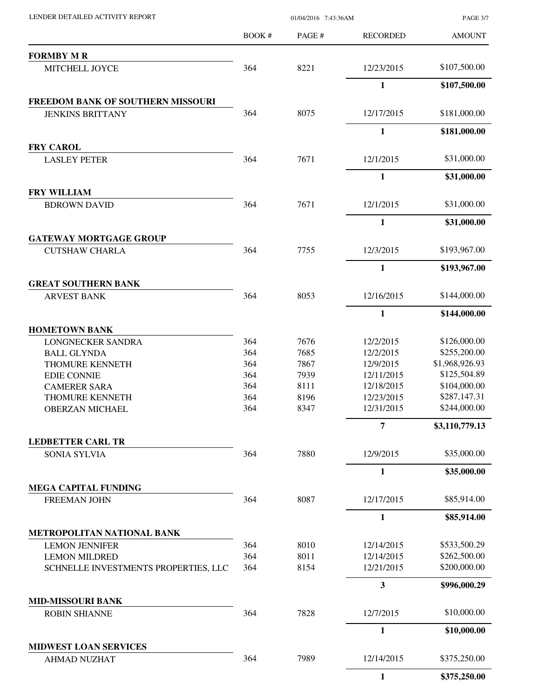| LENDER DETAILED ACTIVITY REPORT                              |       | 01/04/2016 7:43:36AM<br><b>PAGE 3/7</b> |                 |                |
|--------------------------------------------------------------|-------|-----------------------------------------|-----------------|----------------|
|                                                              | BOOK# | PAGE#                                   | <b>RECORDED</b> | <b>AMOUNT</b>  |
| <b>FORMBY M R</b>                                            |       |                                         |                 |                |
| MITCHELL JOYCE                                               | 364   | 8221                                    | 12/23/2015      | \$107,500.00   |
|                                                              |       |                                         | $\mathbf{1}$    | \$107,500.00   |
| FREEDOM BANK OF SOUTHERN MISSOURI<br><b>JENKINS BRITTANY</b> | 364   | 8075                                    | 12/17/2015      | \$181,000.00   |
|                                                              |       |                                         | $\mathbf{1}$    | \$181,000.00   |
| <b>FRY CAROL</b>                                             |       |                                         |                 |                |
| <b>LASLEY PETER</b>                                          | 364   | 7671                                    | 12/1/2015       | \$31,000.00    |
|                                                              |       |                                         | $\mathbf{1}$    | \$31,000.00    |
| FRY WILLIAM                                                  |       |                                         |                 |                |
| <b>BDROWN DAVID</b>                                          | 364   | 7671                                    | 12/1/2015       | \$31,000.00    |
|                                                              |       |                                         | 1               | \$31,000.00    |
| <b>GATEWAY MORTGAGE GROUP</b><br><b>CUTSHAW CHARLA</b>       | 364   | 7755                                    | 12/3/2015       | \$193,967.00   |
|                                                              |       |                                         |                 |                |
|                                                              |       |                                         | $\mathbf{1}$    | \$193,967.00   |
| <b>GREAT SOUTHERN BANK</b><br><b>ARVEST BANK</b>             | 364   | 8053                                    | 12/16/2015      | \$144,000.00   |
|                                                              |       |                                         | $\mathbf{1}$    | \$144,000.00   |
| <b>HOMETOWN BANK</b>                                         |       |                                         |                 |                |
| <b>LONGNECKER SANDRA</b>                                     | 364   | 7676                                    | 12/2/2015       | \$126,000.00   |
| <b>BALL GLYNDA</b>                                           | 364   | 7685                                    | 12/2/2015       | \$255,200.00   |
| THOMURE KENNETH                                              | 364   | 7867                                    | 12/9/2015       | \$1,968,926.93 |
| <b>EDIE CONNIE</b>                                           | 364   | 7939                                    | 12/11/2015      | \$125,504.89   |
| <b>CAMERER SARA</b>                                          | 364   | 8111                                    | 12/18/2015      | \$104,000.00   |
| THOMURE KENNETH                                              | 364   | 8196                                    | 12/23/2015      | \$287,147.31   |
| <b>OBERZAN MICHAEL</b>                                       | 364   | 8347                                    | 12/31/2015      | \$244,000.00   |
|                                                              |       |                                         | $\overline{7}$  | \$3,110,779.13 |
| <b>LEDBETTER CARL TR</b>                                     |       |                                         |                 |                |
| <b>SONIA SYLVIA</b>                                          | 364   | 7880                                    | 12/9/2015       | \$35,000.00    |
|                                                              |       |                                         | $\mathbf{1}$    | \$35,000.00    |
| <b>MEGA CAPITAL FUNDING</b><br><b>FREEMAN JOHN</b>           | 364   | 8087                                    | 12/17/2015      | \$85,914.00    |
|                                                              |       |                                         | $\mathbf{1}$    | \$85,914.00    |
| METROPOLITAN NATIONAL BANK                                   |       |                                         |                 |                |
| <b>LEMON JENNIFER</b>                                        | 364   | 8010                                    | 12/14/2015      | \$533,500.29   |
| <b>LEMON MILDRED</b>                                         | 364   | 8011                                    | 12/14/2015      | \$262,500.00   |
| SCHNELLE INVESTMENTS PROPERTIES, LLC                         | 364   | 8154                                    | 12/21/2015      | \$200,000.00   |
|                                                              |       |                                         | $\mathbf{3}$    | \$996,000.29   |
| <b>MID-MISSOURI BANK</b>                                     |       |                                         |                 |                |
| <b>ROBIN SHIANNE</b>                                         | 364   | 7828                                    | 12/7/2015       | \$10,000.00    |
|                                                              |       |                                         | 1               | \$10,000.00    |
| <b>MIDWEST LOAN SERVICES</b><br><b>AHMAD NUZHAT</b>          | 364   | 7989                                    | 12/14/2015      | \$375,250.00   |
|                                                              |       |                                         | $\mathbf{1}$    | \$375,250.00   |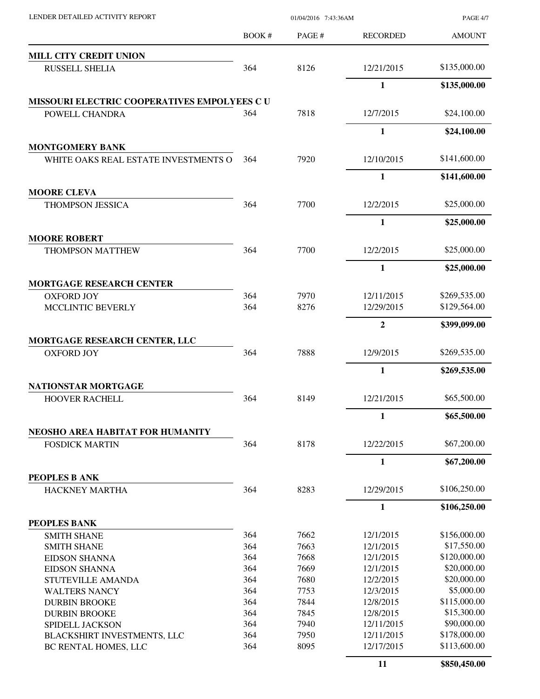| LENDER DETAILED ACTIVITY REPORT                    | 01/04/2016 7:43:36AM |              |                          | PAGE 4/7                     |
|----------------------------------------------------|----------------------|--------------|--------------------------|------------------------------|
|                                                    | BOOK #               | PAGE #       | <b>RECORDED</b>          | <b>AMOUNT</b>                |
| <b>MILL CITY CREDIT UNION</b>                      |                      |              |                          |                              |
| <b>RUSSELL SHELIA</b>                              | 364                  | 8126         | 12/21/2015               | \$135,000.00                 |
|                                                    |                      |              | 1                        | \$135,000.00                 |
| MISSOURI ELECTRIC COOPERATIVES EMPOLYEES CU        |                      |              |                          |                              |
| POWELL CHANDRA                                     | 364                  | 7818         | 12/7/2015                | \$24,100.00                  |
|                                                    |                      |              | 1                        | \$24,100.00                  |
| <b>MONTGOMERY BANK</b>                             |                      |              |                          |                              |
| WHITE OAKS REAL ESTATE INVESTMENTS O               | 364                  | 7920         | 12/10/2015               | \$141,600.00                 |
|                                                    |                      |              | $\mathbf{1}$             | \$141,600.00                 |
| <b>MOORE CLEVA</b>                                 |                      |              |                          |                              |
| <b>THOMPSON JESSICA</b>                            | 364                  | 7700         | 12/2/2015                | \$25,000.00                  |
|                                                    |                      |              | $\mathbf{1}$             | \$25,000.00                  |
| <b>MOORE ROBERT</b>                                |                      |              |                          |                              |
| <b>THOMPSON MATTHEW</b>                            | 364                  | 7700         | 12/2/2015                | \$25,000.00                  |
|                                                    |                      |              | $\mathbf{1}$             | \$25,000.00                  |
| <b>MORTGAGE RESEARCH CENTER</b>                    |                      |              |                          |                              |
| <b>OXFORD JOY</b><br>MCCLINTIC BEVERLY             | 364<br>364           | 7970<br>8276 | 12/11/2015<br>12/29/2015 | \$269,535.00<br>\$129,564.00 |
|                                                    |                      |              |                          |                              |
|                                                    |                      |              | $\overline{2}$           | \$399,099.00                 |
| MORTGAGE RESEARCH CENTER, LLC<br><b>OXFORD JOY</b> | 364                  | 7888         | 12/9/2015                | \$269,535.00                 |
|                                                    |                      |              | 1                        | \$269,535.00                 |
| NATIONSTAR MORTGAGE                                |                      |              |                          |                              |
| <b>HOOVER RACHELL</b>                              | 364                  | 8149         | 12/21/2015               | \$65,500.00                  |
|                                                    |                      |              | $\mathbf{1}$             | \$65,500.00                  |
| NEOSHO AREA HABITAT FOR HUMANITY                   |                      |              |                          |                              |
| <b>FOSDICK MARTIN</b>                              | 364                  | 8178         | 12/22/2015               | \$67,200.00                  |
|                                                    |                      |              | 1                        | \$67,200.00                  |
| PEOPLES B ANK                                      |                      |              |                          |                              |
| <b>HACKNEY MARTHA</b>                              | 364                  | 8283         | 12/29/2015               | \$106,250.00                 |
|                                                    |                      |              | $\mathbf{1}$             | \$106,250.00                 |
| PEOPLES BANK                                       |                      |              |                          |                              |
| <b>SMITH SHANE</b>                                 | 364                  | 7662         | 12/1/2015                | \$156,000.00                 |
| <b>SMITH SHANE</b>                                 | 364                  | 7663         | 12/1/2015                | \$17,550.00                  |
| <b>EIDSON SHANNA</b>                               | 364                  | 7668         | 12/1/2015                | \$120,000.00                 |
| <b>EIDSON SHANNA</b>                               | 364                  | 7669         | 12/1/2015                | \$20,000.00                  |
| STUTEVILLE AMANDA                                  | 364                  | 7680         | 12/2/2015                | \$20,000.00                  |
| <b>WALTERS NANCY</b>                               | 364                  | 7753         | 12/3/2015                | \$5,000.00                   |
| <b>DURBIN BROOKE</b>                               | 364                  | 7844         | 12/8/2015                | \$115,000.00                 |
| <b>DURBIN BROOKE</b>                               | 364                  | 7845         | 12/8/2015                | \$15,300.00                  |
| SPIDELL JACKSON                                    | 364                  | 7940         | 12/11/2015               | \$90,000.00                  |
| BLACKSHIRT INVESTMENTS, LLC                        | 364                  | 7950         | 12/11/2015               | \$178,000.00                 |
| BC RENTAL HOMES, LLC                               | 364                  | 8095         | 12/17/2015               | \$113,600.00                 |
|                                                    |                      |              | 11                       | \$850,450.00                 |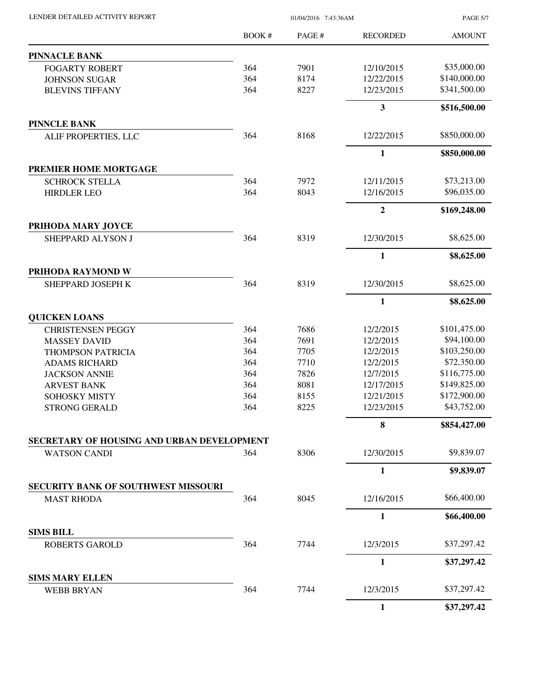| LENDER DETAILED ACTIVITY REPORT            |        | <b>PAGE 5/7</b> |                 |               |
|--------------------------------------------|--------|-----------------|-----------------|---------------|
|                                            | BOOK # | PAGE #          | <b>RECORDED</b> | <b>AMOUNT</b> |
| <b>PINNACLE BANK</b>                       |        |                 |                 |               |
| <b>FOGARTY ROBERT</b>                      | 364    | 7901            | 12/10/2015      | \$35,000.00   |
| <b>JOHNSON SUGAR</b>                       | 364    | 8174            | 12/22/2015      | \$140,000.00  |
| <b>BLEVINS TIFFANY</b>                     | 364    | 8227            | 12/23/2015      | \$341,500.00  |
|                                            |        |                 | $\mathbf{3}$    | \$516,500.00  |
| <b>PINNCLE BANK</b>                        |        |                 |                 |               |
| ALIF PROPERTIES, LLC                       | 364    | 8168            | 12/22/2015      | \$850,000.00  |
|                                            |        |                 | $\mathbf{1}$    | \$850,000.00  |
| PREMIER HOME MORTGAGE                      |        |                 |                 |               |
| <b>SCHROCK STELLA</b>                      | 364    | 7972            | 12/11/2015      | \$73,213.00   |
| <b>HIRDLER LEO</b>                         | 364    | 8043            | 12/16/2015      | \$96,035.00   |
|                                            |        |                 | $\mathbf{2}$    | \$169,248.00  |
| PRIHODA MARY JOYCE                         |        |                 |                 |               |
| SHEPPARD ALYSON J                          | 364    | 8319            | 12/30/2015      | \$8,625.00    |
|                                            |        |                 | $\mathbf{1}$    | \$8,625.00    |
| PRIHODA RAYMOND W                          |        |                 |                 |               |
| SHEPPARD JOSEPH K                          | 364    | 8319            | 12/30/2015      | \$8,625.00    |
|                                            |        |                 | $\mathbf{1}$    | \$8,625.00    |
| <b>QUICKEN LOANS</b>                       |        |                 |                 |               |
| <b>CHRISTENSEN PEGGY</b>                   | 364    | 7686            | 12/2/2015       | \$101,475.00  |
| <b>MASSEY DAVID</b>                        | 364    | 7691            | 12/2/2015       | \$94,100.00   |
| THOMPSON PATRICIA                          | 364    | 7705            | 12/2/2015       | \$103,250.00  |
| <b>ADAMS RICHARD</b>                       | 364    | 7710            | 12/2/2015       | \$72,350.00   |
| <b>JACKSON ANNIE</b>                       | 364    | 7826            | 12/7/2015       | \$116,775.00  |
| <b>ARVEST BANK</b>                         | 364    | 8081            | 12/17/2015      | \$149,825.00  |
| SOHOSKY MISTY                              | 364    | 8155            | 12/21/2015      | \$172,900.00  |
| <b>STRONG GERALD</b>                       | 364    | 8225            | 12/23/2015      | \$43,752.00   |
|                                            |        |                 | 8               | \$854,427.00  |
| SECRETARY OF HOUSING AND URBAN DEVELOPMENT |        |                 |                 |               |
| <b>WATSON CANDI</b>                        | 364    | 8306            | 12/30/2015      | \$9,839.07    |
|                                            |        |                 | $\mathbf{1}$    | \$9,839.07    |
| <b>SECURITY BANK OF SOUTHWEST MISSOURI</b> |        |                 |                 |               |
| <b>MAST RHODA</b>                          | 364    | 8045            | 12/16/2015      | \$66,400.00   |
|                                            |        |                 | 1               | \$66,400.00   |
| <b>SIMS BILL</b>                           |        |                 |                 |               |
| <b>ROBERTS GAROLD</b>                      | 364    | 7744            | 12/3/2015       | \$37,297.42   |
|                                            |        |                 | 1               | \$37,297.42   |
| <b>SIMS MARY ELLEN</b>                     |        |                 |                 |               |

WEBB BRYAN 364 7744 12/3/2015 \$37,297.42 **1 \$37,297.42**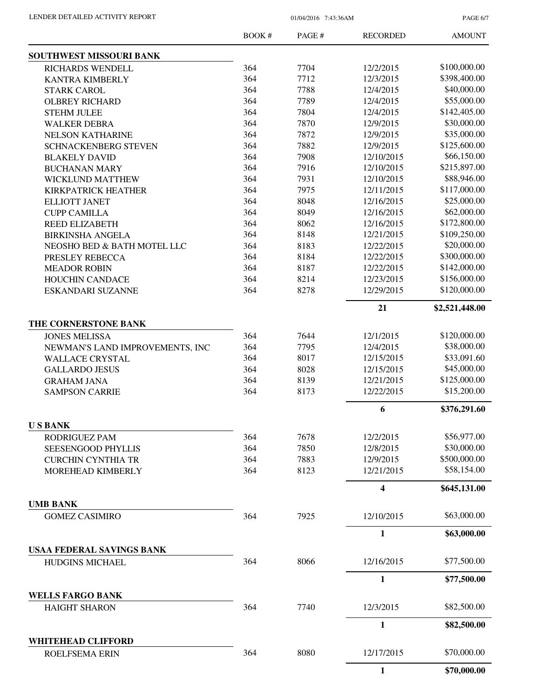PAGE 6/7

|                                             | BOOK # | PAGE # | <b>RECORDED</b> | <b>AMOUNT</b>  |
|---------------------------------------------|--------|--------|-----------------|----------------|
| SOUTHWEST MISSOURI BANK                     |        |        |                 |                |
| RICHARDS WENDELL                            | 364    | 7704   | 12/2/2015       | \$100,000.00   |
| <b>KANTRA KIMBERLY</b>                      | 364    | 7712   | 12/3/2015       | \$398,400.00   |
| <b>STARK CAROL</b>                          | 364    | 7788   | 12/4/2015       | \$40,000.00    |
| <b>OLBREY RICHARD</b>                       | 364    | 7789   | 12/4/2015       | \$55,000.00    |
| <b>STEHM JULEE</b>                          | 364    | 7804   | 12/4/2015       | \$142,405.00   |
| <b>WALKER DEBRA</b>                         | 364    | 7870   | 12/9/2015       | \$30,000.00    |
| <b>NELSON KATHARINE</b>                     | 364    | 7872   | 12/9/2015       | \$35,000.00    |
| <b>SCHNACKENBERG STEVEN</b>                 | 364    | 7882   | 12/9/2015       | \$125,600.00   |
| <b>BLAKELY DAVID</b>                        | 364    | 7908   | 12/10/2015      | \$66,150.00    |
| <b>BUCHANAN MARY</b>                        | 364    | 7916   | 12/10/2015      | \$215,897.00   |
| <b>WICKLUND MATTHEW</b>                     | 364    | 7931   | 12/10/2015      | \$88,946.00    |
| <b>KIRKPATRICK HEATHER</b>                  | 364    | 7975   | 12/11/2015      | \$117,000.00   |
| <b>ELLIOTT JANET</b>                        | 364    | 8048   | 12/16/2015      | \$25,000.00    |
| <b>CUPP CAMILLA</b>                         | 364    | 8049   | 12/16/2015      | \$62,000.00    |
| <b>REED ELIZABETH</b>                       | 364    | 8062   | 12/16/2015      | \$172,800.00   |
| <b>BIRKINSHA ANGELA</b>                     | 364    | 8148   | 12/21/2015      | \$109,250.00   |
| NEOSHO BED & BATH MOTEL LLC                 | 364    | 8183   | 12/22/2015      | \$20,000.00    |
| PRESLEY REBECCA                             | 364    | 8184   | 12/22/2015      | \$300,000.00   |
|                                             | 364    | 8187   | 12/22/2015      | \$142,000.00   |
| <b>MEADOR ROBIN</b>                         |        | 8214   |                 | \$156,000.00   |
| <b>HOUCHIN CANDACE</b>                      | 364    |        | 12/23/2015      |                |
| ESKANDARI SUZANNE                           | 364    | 8278   | 12/29/2015      | \$120,000.00   |
|                                             |        |        | 21              | \$2,521,448.00 |
| THE CORNERSTONE BANK                        |        |        |                 |                |
| <b>JONES MELISSA</b>                        | 364    | 7644   | 12/1/2015       | \$120,000.00   |
| NEWMAN'S LAND IMPROVEMENTS, INC             | 364    | 7795   | 12/4/2015       | \$38,000.00    |
| <b>WALLACE CRYSTAL</b>                      | 364    | 8017   | 12/15/2015      | \$33,091.60    |
| <b>GALLARDO JESUS</b>                       | 364    | 8028   | 12/15/2015      | \$45,000.00    |
| <b>GRAHAM JANA</b>                          | 364    | 8139   | 12/21/2015      | \$125,000.00   |
| <b>SAMPSON CARRIE</b>                       | 364    | 8173   | 12/22/2015      | \$15,200.00    |
|                                             |        |        | 6               | \$376,291.60   |
| <b>USBANK</b>                               |        |        |                 |                |
| RODRIGUEZ PAM                               | 364    | 7678   | 12/2/2015       | \$56,977.00    |
| SEESENGOOD PHYLLIS                          | 364    | 7850   | 12/8/2015       | \$30,000.00    |
| <b>CURCHIN CYNTHIA TR</b>                   | 364    | 7883   | 12/9/2015       | \$500,000.00   |
| MOREHEAD KIMBERLY                           | 364    | 8123   | 12/21/2015      | \$58,154.00    |
|                                             |        |        | 4               | \$645,131.00   |
| <b>UMB BANK</b>                             |        |        |                 |                |
| <b>GOMEZ CASIMIRO</b>                       | 364    | 7925   | 12/10/2015      | \$63,000.00    |
|                                             |        |        | $\mathbf{1}$    | \$63,000.00    |
| <b>USAA FEDERAL SAVINGS BANK</b>            |        |        |                 |                |
| HUDGINS MICHAEL                             | 364    | 8066   | 12/16/2015      | \$77,500.00    |
|                                             |        |        | $\mathbf{1}$    | \$77,500.00    |
| <b>WELLS FARGO BANK</b>                     | 364    | 7740   | 12/3/2015       | \$82,500.00    |
| <b>HAIGHT SHARON</b>                        |        |        |                 |                |
|                                             |        |        | $\mathbf{1}$    | \$82,500.00    |
| <b>WHITEHEAD CLIFFORD</b><br>ROELFSEMA ERIN | 364    | 8080   | 12/17/2015      | \$70,000.00    |
|                                             |        |        | $\mathbf{1}$    | \$70,000.00    |
|                                             |        |        |                 |                |